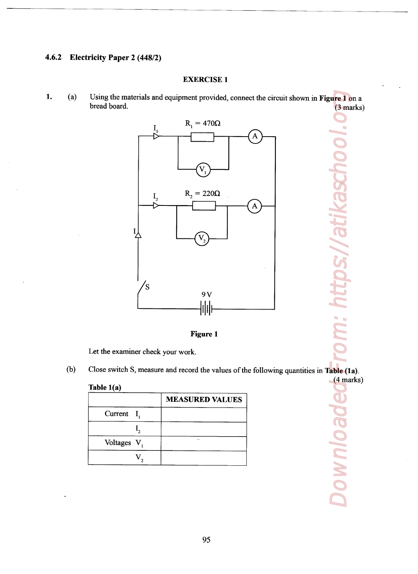# 4.6.2 Electricity Paper 2 (448/2)

#### EXERCISE <sup>1</sup>

1.  $(a)$ Using the materials and equipment provided, connect the circuit shown in Figure 1 on a bread board. (3 marks)



Figure 1

Let the examiner check your work.

0)) Close switch S, measure and record the values of the following quantities in Table (1a).

| Table 1(a)              |                        |
|-------------------------|------------------------|
|                         | <b>MEASURED VALUES</b> |
| Current<br>$\mathbf{L}$ |                        |
|                         |                        |
| Voltages $V_1$          |                        |
|                         |                        |

Downloaded From: https://atikaschool.ca (4 marks)**Download** 

ttps://atikaschc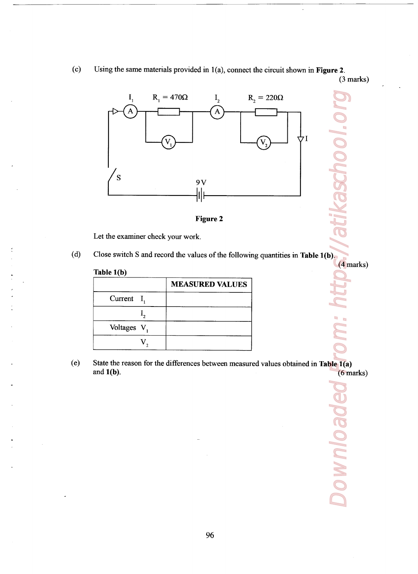$(c)$ Using the same materials provided in  $1(a)$ , connect the circuit shown in Figure 2.  $(3 marks)$ 





Let the examiner check your work.

 $(d)$ Close switch S and record the values of the following quantities in Table 1(b).

| Table 1(b)              |                        |
|-------------------------|------------------------|
|                         | <b>MEASURED VALUES</b> |
| Current I,              |                        |
|                         |                        |
| Voltages V <sub>1</sub> |                        |
|                         |                        |

State the reason for the differences between measured values obtained in Table 1(a)  $(e)$ and  $1(b)$ .  $(6$  marks)

**Download** 

(4 marks)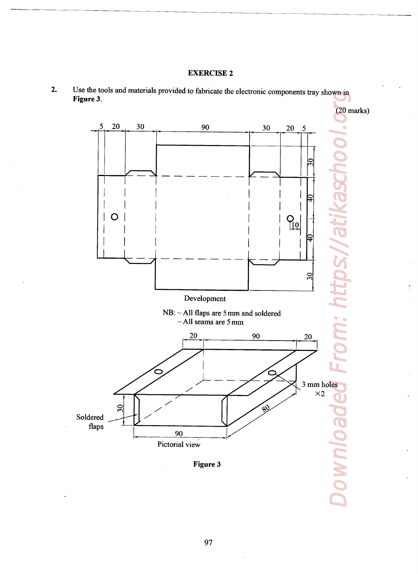## EXERCISE 2



Use the tools and materials provided to fabricate the electronic components tray shown in Figure 3.  $2.$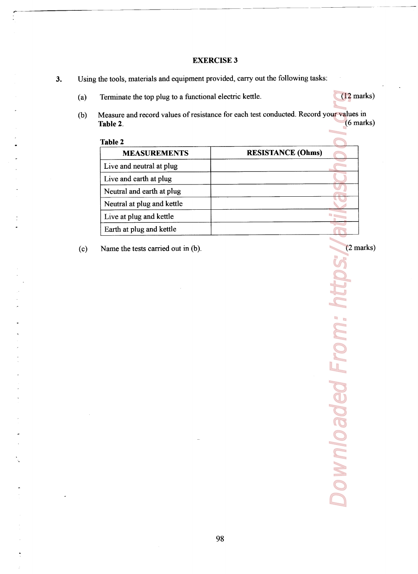### EXERCISE 3

- 3. Using the tools, materials and equipment provided, carry out the following tasks:
	- (a) Terminate the top plug to a functional electric kettle.  $(12 \text{ marks})$
	- (b) Measure and record values of resistance for each test conducted. Record your values in  $Table 2.$  (6 marks)

|                                                                     | <b>EXERCISE 3</b>                                                                      |                                           |
|---------------------------------------------------------------------|----------------------------------------------------------------------------------------|-------------------------------------------|
|                                                                     | the tools, materials and equipment provided, carry out the following tasks:            |                                           |
| Terminate the top plug to a functional electric kettle.<br>Table 2. | Measure and record values of resistance for each test conducted. Record your values in | $(12 \text{ mar})$<br>(6 <sub>mar</sub> ) |
| <b>Table 2</b>                                                      |                                                                                        |                                           |
| <b>MEASUREMENTS</b><br>Live and neutral at plug                     | <b>RESISTANCE (Ohms)</b>                                                               |                                           |
| Live and earth at plug                                              |                                                                                        |                                           |
| Neutral and earth at plug<br>Neutral at plug and kettle             |                                                                                        |                                           |
| Live at plug and kettle                                             |                                                                                        |                                           |
| Earth at plug and kettle<br>Name the tests carried out in (b).      |                                                                                        | $(2 \text{ ma})$                          |
|                                                                     |                                                                                        | $\bullet$                                 |
|                                                                     |                                                                                        |                                           |
|                                                                     |                                                                                        | $\bullet$<br>$\hskip 1.5cm \bullet$<br>N  |
|                                                                     |                                                                                        |                                           |
|                                                                     |                                                                                        |                                           |
|                                                                     |                                                                                        |                                           |
|                                                                     |                                                                                        | wnloaded Fro                              |

(c) Name the tests carried out in (b).<br>  $(2 \text{ marks})$ <br>  $(3 \text{ events})$ <br>  $(1 \text{ times})$ <br>  $(2 \text{ marks})$ <br>  $(2 \text{ marks})$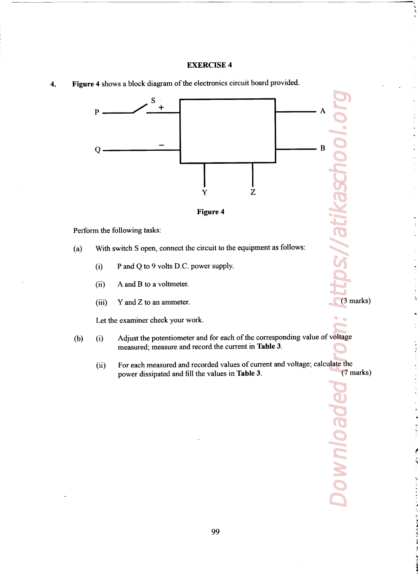### EXERCISE 4

a and the company of the control of the company of the control of the control of the control of the control of



Figure 4 shows a block diagram of the electronics circuit board provided.  $4.$ 



- (i) P and Q to <sup>9</sup> volts DC. power supply.
- (ii) A and B to <sup>a</sup> voltmeter.
- (iii) Y and Z to an ammeter.  $(3 \text{ marks})$

Let the examiner check your work.

- (h) (i) Adjust the potentiometer and for each of the corresponding value of Voltage measured; measure and record the current in Table 3.
	- (ii) For each measured and recorded values of current and Voltage; calculate the power dissipated and fill the values in Table 3. (7 marks)

Downloaded a From: https://atikaschool.org Downloade

 $\alpha$ 

.n

Š